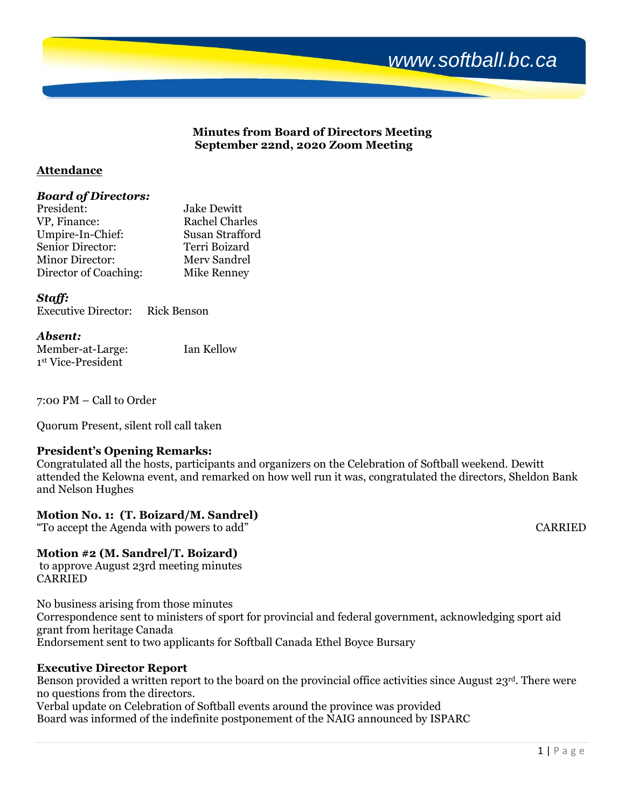

# **Minutes from Board of Directors Meeting September 22nd, 2020 Zoom Meeting**

# **Attendance**

### *Board of Directors:*

| President:             | <b>Jake Dewitt</b>    |
|------------------------|-----------------------|
| VP, Finance:           | <b>Rachel Charles</b> |
| Umpire-In-Chief:       | Susan Strafford       |
| Senior Director:       | Terri Boizard         |
| <b>Minor Director:</b> | Mery Sandrel          |
| Director of Coaching:  | Mike Renney           |

# *Staff:*

| <b>Executive Director:</b> | <b>Rick Benson</b> |
|----------------------------|--------------------|

# *Absent:*

| Member-at-Large:   | Ian Kellow |
|--------------------|------------|
| 1st Vice-President |            |

7:00 PM – Call to Order

Quorum Present, silent roll call taken

# **President's Opening Remarks:**

Congratulated all the hosts, participants and organizers on the Celebration of Softball weekend. Dewitt attended the Kelowna event, and remarked on how well run it was, congratulated the directors, Sheldon Bank and Nelson Hughes

# **Motion No. 1: (T. Boizard/M. Sandrel)**

"To accept the Agenda with powers to add" CARRIED

# **Motion #2 (M. Sandrel/T. Boizard)**

to approve August 23rd meeting minutes **CARRIED** 

No business arising from those minutes Correspondence sent to ministers of sport for provincial and federal government, acknowledging sport aid grant from heritage Canada Endorsement sent to two applicants for Softball Canada Ethel Boyce Bursary

# **Executive Director Report**

Benson provided a written report to the board on the provincial office activities since August 23<sup>rd</sup>. There were no questions from the directors.

Verbal update on Celebration of Softball events around the province was provided Board was informed of the indefinite postponement of the NAIG announced by ISPARC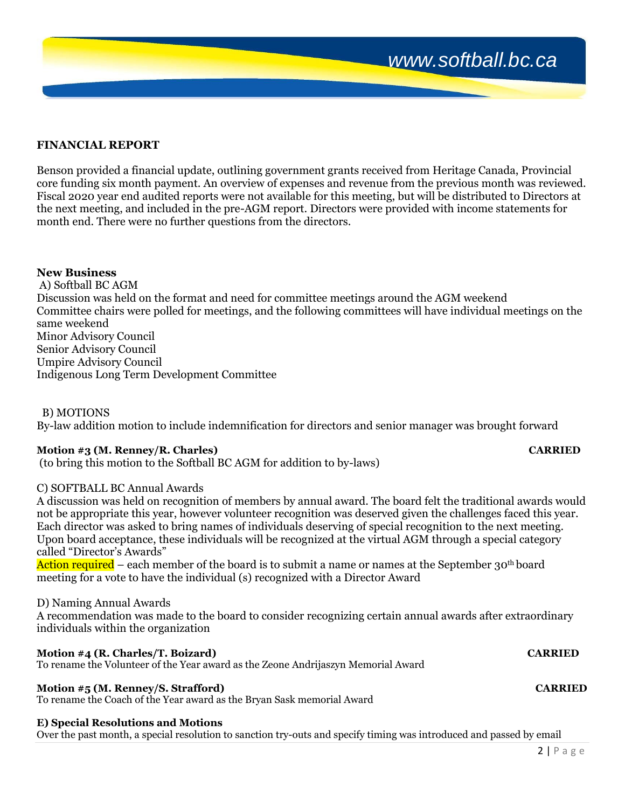# **FINANCIAL REPORT**

Benson provided a financial update, outlining government grants received from Heritage Canada, Provincial core funding six month payment. An overview of expenses and revenue from the previous month was reviewed. Fiscal 2020 year end audited reports were not available for this meeting, but will be distributed to Directors at the next meeting, and included in the pre-AGM report. Directors were provided with income statements for month end. There were no further questions from the directors.

### **New Business**

A) Softball BC AGM Discussion was held on the format and need for committee meetings around the AGM weekend Committee chairs were polled for meetings, and the following committees will have individual meetings on the same weekend Minor Advisory Council Senior Advisory Council Umpire Advisory Council Indigenous Long Term Development Committee

### B) MOTIONS

By-law addition motion to include indemnification for directors and senior manager was brought forward

### **Motion #3 (M. Renney/R. Charles) CARRIED**

# (to bring this motion to the Softball BC AGM for addition to by-laws)

# C) SOFTBALL BC Annual Awards

A discussion was held on recognition of members by annual award. The board felt the traditional awards would not be appropriate this year, however volunteer recognition was deserved given the challenges faced this year. Each director was asked to bring names of individuals deserving of special recognition to the next meeting. Upon board acceptance, these individuals will be recognized at the virtual AGM through a special category called "Director's Awards"

Action required – each member of the board is to submit a name or names at the September 30<sup>th</sup> board meeting for a vote to have the individual (s) recognized with a Director Award

#### D) Naming Annual Awards

A recommendation was made to the board to consider recognizing certain annual awards after extraordinary individuals within the organization

#### **Motion #4 (R. Charles/T. Boizard) CARRIED**

To rename the Volunteer of the Year award as the Zeone Andrijaszyn Memorial Award

### **Motion #5 (M. Renney/S. Strafford) CARRIED**

To rename the Coach of the Year award as the Bryan Sask memorial Award

#### **E) Special Resolutions and Motions**

Over the past month, a special resolution to sanction try-outs and specify timing was introduced and passed by email